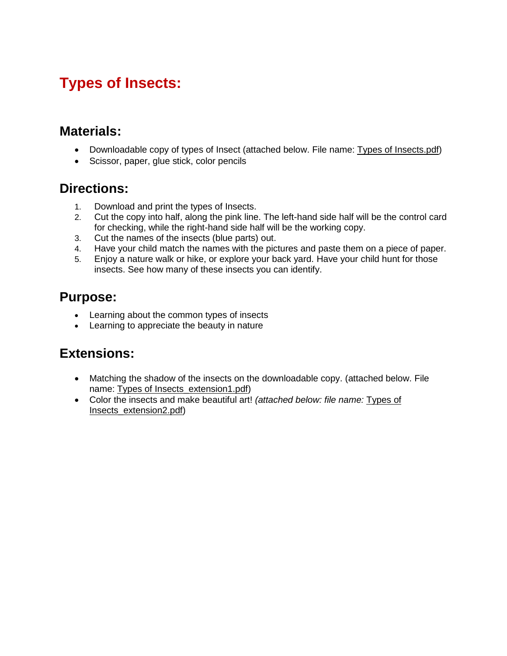# **Types of Insects:**

### **Materials:**

- Downloadable copy of types of Insect (attached below. File name: Types of Insects.pdf)
- Scissor, paper, glue stick, color pencils

### **Directions:**

- 1. Download and print the types of Insects.
- 2. Cut the copy into half, along the pink line. The left-hand side half will be the control card for checking, while the right-hand side half will be the working copy.
- 3. Cut the names of the insects (blue parts) out.
- 4. Have your child match the names with the pictures and paste them on a piece of paper.
- 5. Enjoy a nature walk or hike, or explore your back yard. Have your child hunt for those insects. See how many of these insects you can identify.

## **Purpose:**

- **•** Learning about the common types of insects
- Learning to appreciate the beauty in nature

## **Extensions:**

- Matching the shadow of the insects on the downloadable copy. (attached below. File name: Types of Insects\_extension1.pdf)
- Color the insects and make beautiful art! *(attached below: file name:* Types of Insects\_extension2.pdf)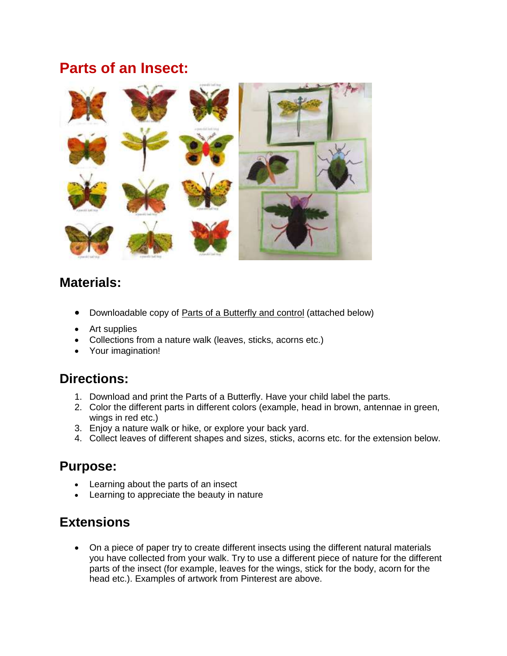## **Parts of an Insect:**



## **Materials:**

- Downloadable copy of Parts of a Butterfly and control (attached below)
- Art supplies
- Collections from a nature walk (leaves, sticks, acorns etc.)
- Your imagination!

#### **Directions:**

- 1. Download and print the Parts of a Butterfly. Have your child label the parts.
- 2. Color the different parts in different colors (example, head in brown, antennae in green, wings in red etc.)
- 3. Enjoy a nature walk or hike, or explore your back yard.
- 4. Collect leaves of different shapes and sizes, sticks, acorns etc. for the extension below.

#### **Purpose:**

- Learning about the parts of an insect
- Learning to appreciate the beauty in nature

## **Extensions**

 On a piece of paper try to create different insects using the different natural materials you have collected from your walk. Try to use a different piece of nature for the different parts of the insect (for example, leaves for the wings, stick for the body, acorn for the head etc.). Examples of artwork from Pinterest are above.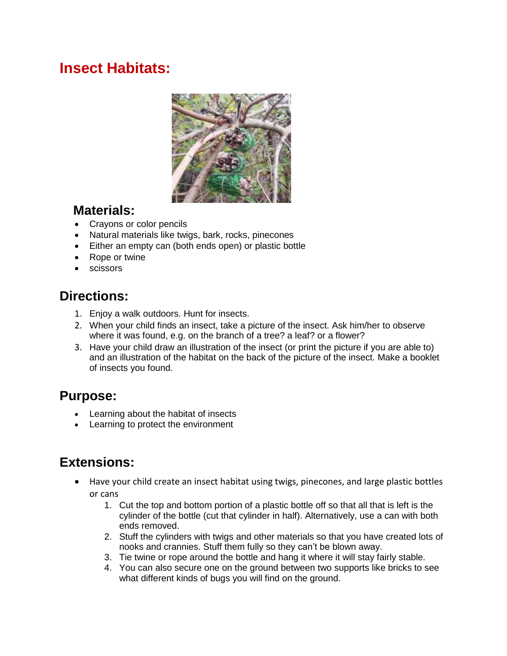## **Insect Habitats:**



### **Materials:**

- Crayons or color pencils
- Natural materials like twigs, bark, rocks, pinecones
- Either an empty can (both ends open) or plastic bottle
- Rope or twine
- scissors

## **Directions:**

- 1. Enjoy a walk outdoors. Hunt for insects.
- 2. When your child finds an insect, take a picture of the insect. Ask him/her to observe where it was found, e.g. on the branch of a tree? a leaf? or a flower?
- 3. Have your child draw an illustration of the insect (or print the picture if you are able to) and an illustration of the habitat on the back of the picture of the insect. Make a booklet of insects you found.

## **Purpose:**

- Learning about the habitat of insects
- Learning to protect the environment

## **Extensions:**

- Have your child create an insect habitat using twigs, pinecones, and large plastic bottles or cans
	- 1. Cut the top and bottom portion of a plastic bottle off so that all that is left is the cylinder of the bottle (cut that cylinder in half). Alternatively, use a can with both ends removed.
	- 2. Stuff the cylinders with twigs and other materials so that you have created lots of nooks and crannies. Stuff them fully so they can't be blown away.
	- 3. Tie twine or rope around the bottle and hang it where it will stay fairly stable.
	- 4. You can also secure one on the ground between two supports like bricks to see what different kinds of bugs you will find on the ground.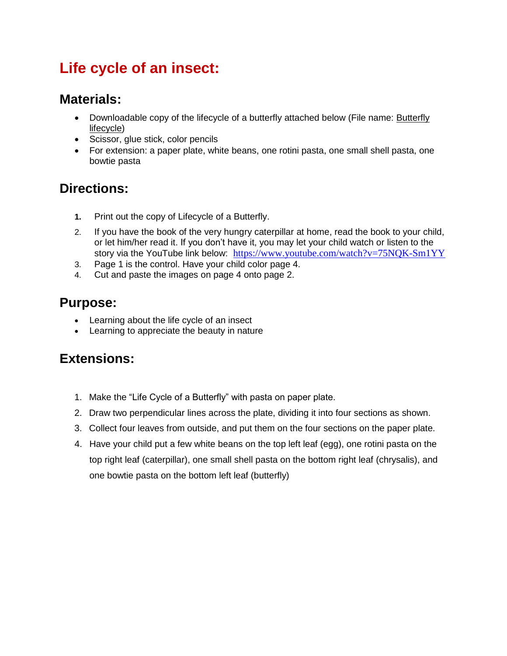# **Life cycle of an insect:**

## **Materials:**

- Downloadable copy of the lifecycle of a butterfly attached below (File name: Butterfly lifecycle)
- Scissor, glue stick, color pencils
- For extension: a paper plate, white beans, one rotini pasta, one small shell pasta, one bowtie pasta

## **Directions:**

- **1.** Print out the copy of Lifecycle of a Butterfly.
- 2. If you have the book of the very hungry caterpillar at home, read the book to your child, or let him/her read it. If you don't have it, you may let your child watch or listen to the story via the YouTube link below: <https://www.youtube.com/watch?v=75NQK-Sm1YY>
- 3. Page 1 is the control. Have your child color page 4.
- 4. Cut and paste the images on page 4 onto page 2.

### **Purpose:**

- Learning about the life cycle of an insect
- Learning to appreciate the beauty in nature

#### **Extensions:**

- 1. Make the "Life Cycle of a Butterfly" with pasta on paper plate.
- 2. Draw two perpendicular lines across the plate, dividing it into four sections as shown.
- 3. Collect four leaves from outside, and put them on the four sections on the paper plate.
- 4. Have your child put a few white beans on the top left leaf (egg), one rotini pasta on the top right leaf (caterpillar), one small shell pasta on the bottom right leaf (chrysalis), and one bowtie pasta on the bottom left leaf (butterfly)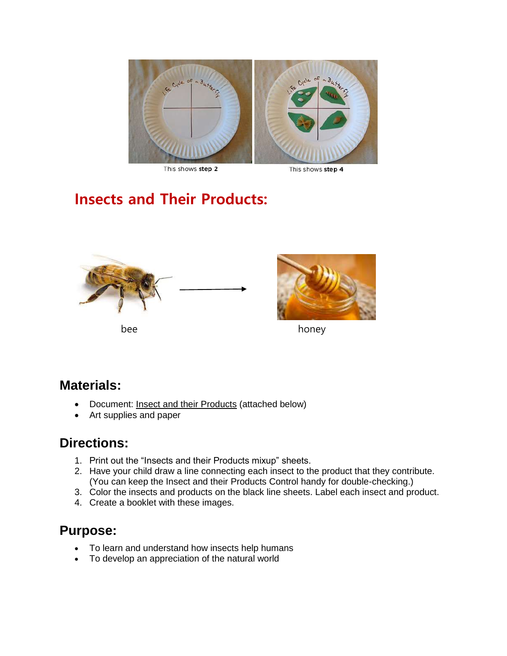

This shows step 2

This shows step 4

# **Insects and Their Products:**





bee honey

#### **Materials:**

- Document: Insect and their Products (attached below)
- Art supplies and paper

#### **Directions:**

- 1. Print out the "Insects and their Products mixup" sheets.
- 2. Have your child draw a line connecting each insect to the product that they contribute. (You can keep the Insect and their Products Control handy for double-checking.)
- 3. Color the insects and products on the black line sheets. Label each insect and product.
- 4. Create a booklet with these images.

#### **Purpose:**

- To learn and understand how insects help humans
- To develop an appreciation of the natural world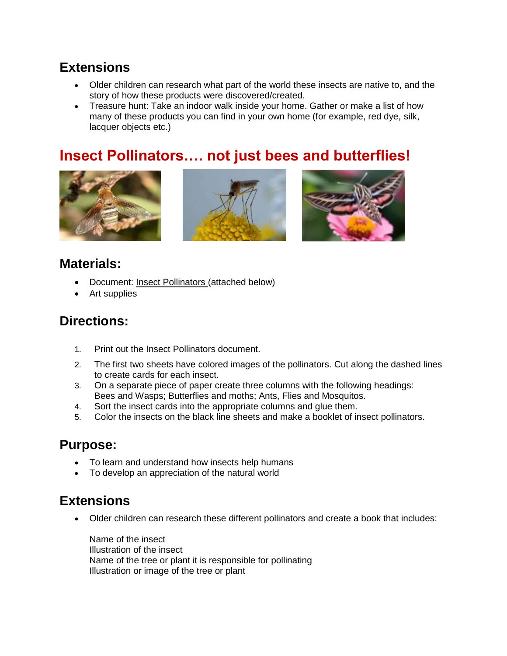## **Extensions**

- Older children can research what part of the world these insects are native to, and the story of how these products were discovered/created.
- Treasure hunt: Take an indoor walk inside your home. Gather or make a list of how many of these products you can find in your own home (for example, red dye, silk, lacquer objects etc.)

## **Insect Pollinators…. not just bees and butterflies!**







### **Materials:**

- Document: Insect Pollinators (attached below)
- Art supplies

#### **Directions:**

- 1. Print out the Insect Pollinators document.
- 2. The first two sheets have colored images of the pollinators. Cut along the dashed lines to create cards for each insect.
- 3. On a separate piece of paper create three columns with the following headings: Bees and Wasps; Butterflies and moths; Ants, Flies and Mosquitos.
- 4. Sort the insect cards into the appropriate columns and glue them.
- 5. Color the insects on the black line sheets and make a booklet of insect pollinators.

#### **Purpose:**

- To learn and understand how insects help humans
- To develop an appreciation of the natural world

#### **Extensions**

Older children can research these different pollinators and create a book that includes:

Name of the insect Illustration of the insect Name of the tree or plant it is responsible for pollinating Illustration or image of the tree or plant